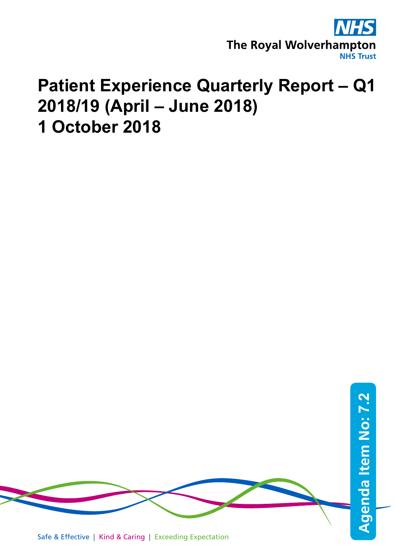

## **Patient Experience Quarterly Report – Q1 2018/19 (April – June 2018) 1 October 2018**



Safe & Effective | Kind & Caring | Exceeding Expectation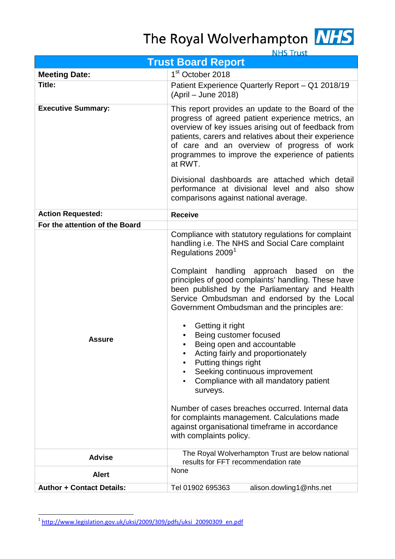# The Royal Wolverhampton NHS



**NHS Trust** 

| <b>Trust Board Report</b>        |                                                                                                                                                                                                                                                                                                                                                                                                                                                                                                                                                                                                                                                                                                                                                                                                                         |  |  |  |  |  |  |
|----------------------------------|-------------------------------------------------------------------------------------------------------------------------------------------------------------------------------------------------------------------------------------------------------------------------------------------------------------------------------------------------------------------------------------------------------------------------------------------------------------------------------------------------------------------------------------------------------------------------------------------------------------------------------------------------------------------------------------------------------------------------------------------------------------------------------------------------------------------------|--|--|--|--|--|--|
| <b>Meeting Date:</b>             | 1 <sup>st</sup> October 2018                                                                                                                                                                                                                                                                                                                                                                                                                                                                                                                                                                                                                                                                                                                                                                                            |  |  |  |  |  |  |
| Title:                           | Patient Experience Quarterly Report - Q1 2018/19<br>(April – June 2018)                                                                                                                                                                                                                                                                                                                                                                                                                                                                                                                                                                                                                                                                                                                                                 |  |  |  |  |  |  |
| <b>Executive Summary:</b>        | This report provides an update to the Board of the<br>progress of agreed patient experience metrics, an<br>overview of key issues arising out of feedback from<br>patients, carers and relatives about their experience<br>of care and an overview of progress of work<br>programmes to improve the experience of patients<br>at RWT.                                                                                                                                                                                                                                                                                                                                                                                                                                                                                   |  |  |  |  |  |  |
|                                  | Divisional dashboards are attached which detail<br>performance at divisional level and also show<br>comparisons against national average.                                                                                                                                                                                                                                                                                                                                                                                                                                                                                                                                                                                                                                                                               |  |  |  |  |  |  |
| <b>Action Requested:</b>         | <b>Receive</b>                                                                                                                                                                                                                                                                                                                                                                                                                                                                                                                                                                                                                                                                                                                                                                                                          |  |  |  |  |  |  |
| For the attention of the Board   |                                                                                                                                                                                                                                                                                                                                                                                                                                                                                                                                                                                                                                                                                                                                                                                                                         |  |  |  |  |  |  |
| Assure                           | Compliance with statutory regulations for complaint<br>handling i.e. The NHS and Social Care complaint<br>Regulations 2009 <sup>1</sup><br>Complaint handling approach based<br>the<br>on<br>principles of good complaints' handling. These have<br>been published by the Parliamentary and Health<br>Service Ombudsman and endorsed by the Local<br>Government Ombudsman and the principles are:<br>Getting it right<br>Being customer focused<br>Being open and accountable<br>Acting fairly and proportionately<br>Putting things right<br>Seeking continuous improvement<br>Compliance with all mandatory patient<br>٠<br>surveys.<br>Number of cases breaches occurred. Internal data<br>for complaints management. Calculations made<br>against organisational timeframe in accordance<br>with complaints policy. |  |  |  |  |  |  |
| <b>Advise</b>                    | The Royal Wolverhampton Trust are below national<br>results for FFT recommendation rate                                                                                                                                                                                                                                                                                                                                                                                                                                                                                                                                                                                                                                                                                                                                 |  |  |  |  |  |  |
| <b>Alert</b>                     | None                                                                                                                                                                                                                                                                                                                                                                                                                                                                                                                                                                                                                                                                                                                                                                                                                    |  |  |  |  |  |  |
| <b>Author + Contact Details:</b> | alison.dowling1@nhs.net<br>Tel 01902 695363                                                                                                                                                                                                                                                                                                                                                                                                                                                                                                                                                                                                                                                                                                                                                                             |  |  |  |  |  |  |

<span id="page-1-0"></span><sup>1</sup> [http://www.legislation.gov.uk/uksi/2009/309/pdfs/uksi\\_20090309\\_en.pdf](http://www.legislation.gov.uk/uksi/2009/309/pdfs/uksi_20090309_en.pdf)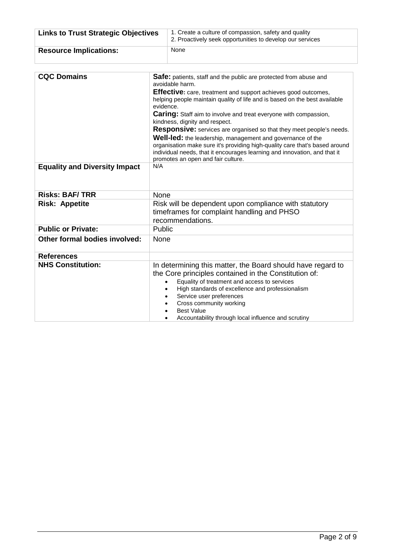| <b>Links to Trust Strategic Objectives</b> | 1. Create a culture of compassion, safety and quality<br>2. Proactively seek opportunities to develop our services                                                                                                                                                                                                                          |
|--------------------------------------------|---------------------------------------------------------------------------------------------------------------------------------------------------------------------------------------------------------------------------------------------------------------------------------------------------------------------------------------------|
| <b>Resource Implications:</b>              | None                                                                                                                                                                                                                                                                                                                                        |
|                                            |                                                                                                                                                                                                                                                                                                                                             |
| <b>CQC Domains</b>                         | <b>Safe:</b> patients, staff and the public are protected from abuse and<br>avoidable harm.<br>Effective: care, treatment and support achieves good outcomes,<br>helping people maintain quality of life and is based on the best available                                                                                                 |
|                                            | evidence.<br><b>Caring:</b> Staff aim to involve and treat everyone with compassion,<br>kindness, dignity and respect.                                                                                                                                                                                                                      |
|                                            | Responsive: services are organised so that they meet people's needs.<br><b>Well-led:</b> the leadership, management and governance of the<br>organisation make sure it's providing high-quality care that's based around<br>individual needs, that it encourages learning and innovation, and that it<br>promotes an open and fair culture. |
| <b>Equality and Diversity Impact</b>       | N/A                                                                                                                                                                                                                                                                                                                                         |
| <b>Risks: BAF/TRR</b>                      | None                                                                                                                                                                                                                                                                                                                                        |
| <b>Risk: Appetite</b>                      | Risk will be dependent upon compliance with statutory<br>timeframes for complaint handling and PHSO<br>recommendations.                                                                                                                                                                                                                     |
| <b>Public or Private:</b>                  | Public                                                                                                                                                                                                                                                                                                                                      |
| Other formal bodies involved:              | None                                                                                                                                                                                                                                                                                                                                        |
| <b>References</b>                          |                                                                                                                                                                                                                                                                                                                                             |
| <b>NHS Constitution:</b>                   | In determining this matter, the Board should have regard to<br>the Core principles contained in the Constitution of:<br>Equality of treatment and access to services                                                                                                                                                                        |

• High standards of excellence and professionalism

• Accountability through local influence and scrutiny

• Service user preferences • Cross community working

• Best Value<br>• Accountabi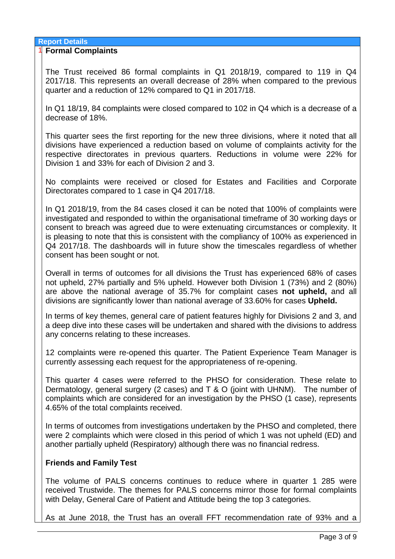## **Report Details**

### 1 **Formal Complaints**

The Trust received 86 formal complaints in Q1 2018/19, compared to 119 in Q4 2017/18. This represents an overall decrease of 28% when compared to the previous quarter and a reduction of 12% compared to Q1 in 2017/18.

In Q1 18/19, 84 complaints were closed compared to 102 in Q4 which is a decrease of a decrease of 18%.

This quarter sees the first reporting for the new three divisions, where it noted that all divisions have experienced a reduction based on volume of complaints activity for the respective directorates in previous quarters. Reductions in volume were 22% for Division 1 and 33% for each of Division 2 and 3.

No complaints were received or closed for Estates and Facilities and Corporate Directorates compared to 1 case in Q4 2017/18.

In Q1 2018/19, from the 84 cases closed it can be noted that 100% of complaints were investigated and responded to within the organisational timeframe of 30 working days or consent to breach was agreed due to were extenuating circumstances or complexity. It is pleasing to note that this is consistent with the compliancy of 100% as experienced in Q4 2017/18. The dashboards will in future show the timescales regardless of whether consent has been sought or not.

Overall in terms of outcomes for all divisions the Trust has experienced 68% of cases not upheld, 27% partially and 5% upheld. However both Division 1 (73%) and 2 (80%) are above the national average of 35.7% for complaint cases **not upheld,** and all divisions are significantly lower than national average of 33.60% for cases **Upheld.**

In terms of key themes, general care of patient features highly for Divisions 2 and 3, and a deep dive into these cases will be undertaken and shared with the divisions to address any concerns relating to these increases.

12 complaints were re-opened this quarter. The Patient Experience Team Manager is currently assessing each request for the appropriateness of re-opening.

This quarter 4 cases were referred to the PHSO for consideration. These relate to Dermatology, general surgery (2 cases) and T & O (joint with UHNM). The number of complaints which are considered for an investigation by the PHSO (1 case), represents 4.65% of the total complaints received.

In terms of outcomes from investigations undertaken by the PHSO and completed, there were 2 complaints which were closed in this period of which 1 was not upheld (ED) and another partially upheld (Respiratory) although there was no financial redress.

## **Friends and Family Test**

The volume of PALS concerns continues to reduce where in quarter 1 285 were received Trustwide. The themes for PALS concerns mirror those for formal complaints with Delay, General Care of Patient and Attitude being the top 3 categories.

As at June 2018, the Trust has an overall FFT recommendation rate of 93% and a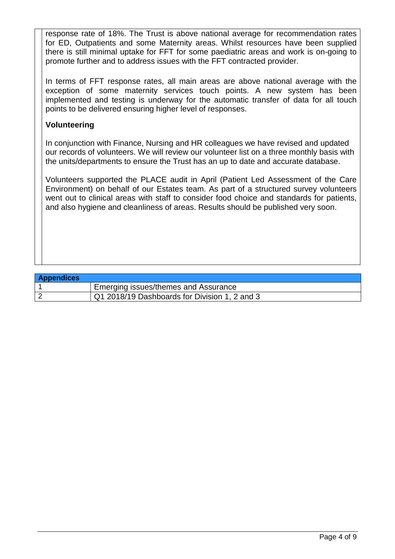response rate of 18%. The Trust is above national average for recommendation rates for ED, Outpatients and some Maternity areas. Whilst resources have been supplied there is still minimal uptake for FFT for some paediatric areas and work is on-going to promote further and to address issues with the FFT contracted provider.

In terms of FFT response rates, all main areas are above national average with the exception of some maternity services touch points. A new system has been implemented and testing is underway for the automatic transfer of data for all touch points to be delivered ensuring higher level of responses.

## **Volunteering**

In conjunction with Finance, Nursing and HR colleagues we have revised and updated our records of volunteers. We will review our volunteer list on a three monthly basis with the units/departments to ensure the Trust has an up to date and accurate database.

Volunteers supported the PLACE audit in April (Patient Led Assessment of the Care Environment) on behalf of our Estates team. As part of a structured survey volunteers went out to clinical areas with staff to consider food choice and standards for patients, and also hygiene and cleanliness of areas. Results should be published very soon.

### **Appendices**

| <b>APPENAILLES</b> |                                                   |
|--------------------|---------------------------------------------------|
|                    | <sup>1</sup> Emerging issues/themes and Assurance |
|                    | Q1 2018/19 Dashboards for Division 1, 2 and 3     |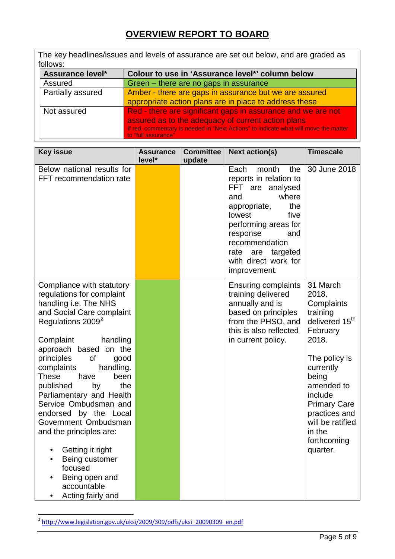## **OVERVIEW REPORT TO BOARD**

The key headlines/issues and levels of assurance are set out below, and are graded as follows:

| Assurance level*  | Colour to use in 'Assurance level*' column below                                                            |
|-------------------|-------------------------------------------------------------------------------------------------------------|
| Assured           | Green – there are no gaps in assurance                                                                      |
| Partially assured | Amber - there are gaps in assurance but we are assured                                                      |
|                   | appropriate action plans are in place to address these                                                      |
| Not assured       | Red - there are significant gaps in assurance and we are not                                                |
|                   | assured as to the adequacy of current action plans                                                          |
|                   | If red, commentary is needed in "Next Actions" to indicate what will move the matter<br>to "full assurance" |

| <b>Key issue</b>                                                                                                                                                                                                                                                                                                                                                                                                                                                                                                                                  | <b>Assurance</b><br>level* | <b>Committee</b><br>update | <b>Next action(s)</b>                                                                                                                                                                                                                                       | <b>Timescale</b>                                                                                                                                                                                                                                                |
|---------------------------------------------------------------------------------------------------------------------------------------------------------------------------------------------------------------------------------------------------------------------------------------------------------------------------------------------------------------------------------------------------------------------------------------------------------------------------------------------------------------------------------------------------|----------------------------|----------------------------|-------------------------------------------------------------------------------------------------------------------------------------------------------------------------------------------------------------------------------------------------------------|-----------------------------------------------------------------------------------------------------------------------------------------------------------------------------------------------------------------------------------------------------------------|
| Below national results for<br>FFT recommendation rate                                                                                                                                                                                                                                                                                                                                                                                                                                                                                             |                            |                            | Each<br>month<br>the<br>reports in relation to<br>FFT are analysed<br>where<br>and<br>the<br>appropriate,<br>lowest<br>five<br>performing areas for<br>response<br>and<br>recommendation<br>targeted<br>are<br>rate<br>with direct work for<br>improvement. | 30 June 2018                                                                                                                                                                                                                                                    |
| Compliance with statutory<br>regulations for complaint<br>handling i.e. The NHS<br>and Social Care complaint<br>Regulations 2009 <sup>2</sup><br>Complaint<br>handling<br>approach based on the<br>principles<br>of<br>good<br>complaints<br>handling.<br>These<br>have<br>been<br>published<br>by<br>the<br>Parliamentary and Health<br>Service Ombudsman and<br>endorsed by the Local<br>Government Ombudsman<br>and the principles are:<br>Getting it right<br>Being customer<br>focused<br>Being open and<br>accountable<br>Acting fairly and |                            |                            | <b>Ensuring complaints</b><br>training delivered<br>annually and is<br>based on principles<br>from the PHSO, and<br>this is also reflected<br>in current policy.                                                                                            | 31 March<br>2018.<br>Complaints<br>training<br>delivered 15 <sup>th</sup><br>February<br>2018.<br>The policy is<br>currently<br>being<br>amended to<br>include<br><b>Primary Care</b><br>practices and<br>will be ratified<br>in the<br>forthcoming<br>quarter. |

<span id="page-5-0"></span><sup>2</sup> [http://www.legislation.gov.uk/uksi/2009/309/pdfs/uksi\\_20090309\\_en.pdf](http://www.legislation.gov.uk/uksi/2009/309/pdfs/uksi_20090309_en.pdf)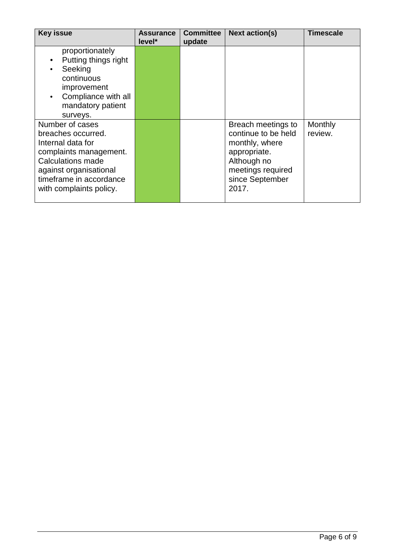| <b>Key issue</b>                                                                                                                                                                          | <b>Assurance</b><br>level* | <b>Committee</b><br>update | <b>Next action(s)</b>                                                                                                                       | <b>Timescale</b>   |
|-------------------------------------------------------------------------------------------------------------------------------------------------------------------------------------------|----------------------------|----------------------------|---------------------------------------------------------------------------------------------------------------------------------------------|--------------------|
| proportionately<br>Putting things right<br>Seeking<br>continuous<br>improvement<br>Compliance with all<br>$\bullet$<br>mandatory patient<br>surveys.                                      |                            |                            |                                                                                                                                             |                    |
| Number of cases<br>breaches occurred.<br>Internal data for<br>complaints management.<br>Calculations made<br>against organisational<br>timeframe in accordance<br>with complaints policy. |                            |                            | Breach meetings to<br>continue to be held<br>monthly, where<br>appropriate.<br>Although no<br>meetings required<br>since September<br>2017. | Monthly<br>review. |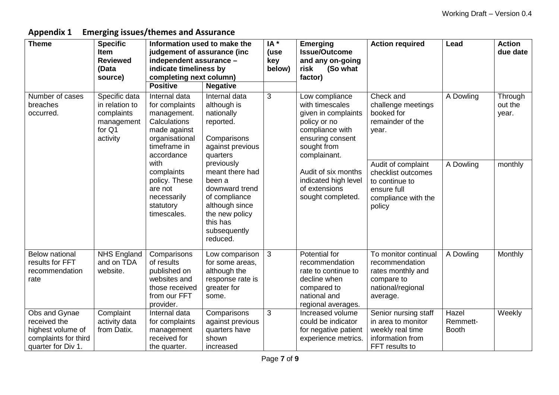**Appendix 1 Emerging issues/themes and Assurance**

| <b>Theme</b>                                                                                     | <b>Specific</b><br><b>Item</b><br><b>Reviewed</b><br>(Data<br>source)             | Information used to make the<br>judgement of assurance (inc<br>independent assurance -<br>indicate timeliness by<br>completing next column) |                                                                                                                                                        | $IA^*$<br>(use<br>key<br>below)                                                                                                                     | <b>Emerging</b><br><b>Issue/Outcome</b><br>and any on-going<br>risk<br>(So what<br>factor)                                         | <b>Action required</b>                                                                                     | Lead                              | <b>Action</b><br>due date   |
|--------------------------------------------------------------------------------------------------|-----------------------------------------------------------------------------------|---------------------------------------------------------------------------------------------------------------------------------------------|--------------------------------------------------------------------------------------------------------------------------------------------------------|-----------------------------------------------------------------------------------------------------------------------------------------------------|------------------------------------------------------------------------------------------------------------------------------------|------------------------------------------------------------------------------------------------------------|-----------------------------------|-----------------------------|
|                                                                                                  |                                                                                   | <b>Positive</b>                                                                                                                             | <b>Negative</b>                                                                                                                                        |                                                                                                                                                     |                                                                                                                                    |                                                                                                            |                                   |                             |
| Number of cases<br>breaches<br>occurred.                                                         | Specific data<br>in relation to<br>complaints<br>management<br>for Q1<br>activity | Internal data<br>for complaints<br>management.<br>Calculations<br>made against<br>organisational<br>timeframe in<br>accordance              | Internal data<br>although is<br>nationally<br>reported.<br>Comparisons<br>against previous<br>quarters                                                 | 3<br>Low compliance<br>with timescales<br>given in complaints<br>policy or no<br>compliance with<br>ensuring consent<br>sought from<br>complainant. |                                                                                                                                    | Check and<br>challenge meetings<br>booked for<br>remainder of the<br>year.                                 | A Dowling                         | Through<br>out the<br>year. |
|                                                                                                  |                                                                                   | with<br>complaints<br>policy. These<br>are not<br>necessarily<br>statutory<br>timescales.                                                   | previously<br>meant there had<br>been a<br>downward trend<br>of compliance<br>although since<br>the new policy<br>this has<br>subsequently<br>reduced. |                                                                                                                                                     | Audit of six months<br>indicated high level<br>of extensions<br>sought completed.                                                  | Audit of complaint<br>checklist outcomes<br>to continue to<br>ensure full<br>compliance with the<br>policy | A Dowling                         | monthly                     |
| <b>Below national</b><br>results for FFT<br>recommendation<br>rate                               | NHS England<br>and on TDA<br>website.                                             | Comparisons<br>of results<br>published on<br>websites and<br>those received<br>from our FFT<br>provider.                                    | Low comparison<br>for some areas,<br>although the<br>response rate is<br>greater for<br>some.                                                          | 3                                                                                                                                                   | <b>Potential for</b><br>recommendation<br>rate to continue to<br>decline when<br>compared to<br>national and<br>regional averages. | To monitor continual<br>recommendation<br>rates monthly and<br>compare to<br>national/regional<br>average. | A Dowling                         | Monthly                     |
| Obs and Gynae<br>received the<br>highest volume of<br>complaints for third<br>quarter for Div 1. | Complaint<br>activity data<br>from Datix.                                         | Internal data<br>for complaints<br>management<br>received for<br>the quarter.                                                               | Comparisons<br>against previous<br>quarters have<br>shown<br>increased                                                                                 | 3                                                                                                                                                   | Increased volume<br>could be indicator<br>for negative patient<br>experience metrics.                                              | Senior nursing staff<br>in area to monitor<br>weekly real time<br>information from<br>FFT results to       | Hazel<br>Remmett-<br><b>Booth</b> | Weekly                      |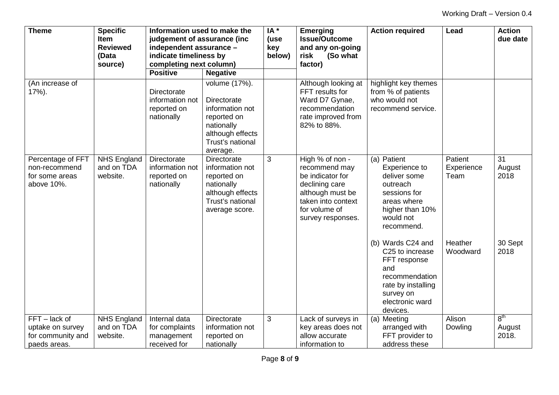| <b>Theme</b>                                                           | <b>Specific</b><br><b>Item</b><br><b>Reviewed</b><br>(Data | Information used to make the<br>judgement of assurance (inc<br>independent assurance -<br>indicate timeliness by |                                                                                                                                         | $IA*$<br>(use<br>key<br>below) | <b>Emerging</b><br><b>Issue/Outcome</b><br>and any on-going<br>risk<br>(So what                                                                        | <b>Action required</b>                                                                                                                                      | Lead                          | <b>Action</b><br>due date          |
|------------------------------------------------------------------------|------------------------------------------------------------|------------------------------------------------------------------------------------------------------------------|-----------------------------------------------------------------------------------------------------------------------------------------|--------------------------------|--------------------------------------------------------------------------------------------------------------------------------------------------------|-------------------------------------------------------------------------------------------------------------------------------------------------------------|-------------------------------|------------------------------------|
|                                                                        | source)                                                    | completing next column)                                                                                          |                                                                                                                                         |                                | factor)                                                                                                                                                |                                                                                                                                                             |                               |                                    |
|                                                                        |                                                            | <b>Positive</b>                                                                                                  | <b>Negative</b>                                                                                                                         |                                |                                                                                                                                                        |                                                                                                                                                             |                               |                                    |
| (An increase of<br>$17%$ ).                                            |                                                            | Directorate<br>information not<br>reported on<br>nationally                                                      | volume (17%).<br><b>Directorate</b><br>information not<br>reported on<br>nationally<br>although effects<br>Trust's national<br>average. |                                | Although looking at<br>FFT results for<br>Ward D7 Gynae,<br>recommendation<br>rate improved from<br>82% to 88%.                                        | highlight key themes<br>from % of patients<br>who would not<br>recommend service.                                                                           |                               |                                    |
| Percentage of FFT<br>non-recommend<br>for some areas<br>above 10%.     | <b>NHS England</b><br>and on TDA<br>website.               | Directorate<br>information not<br>reported on<br>nationally                                                      | Directorate<br>information not<br>reported on<br>nationally<br>although effects<br>Trust's national<br>average score.                   | 3                              | High % of non -<br>recommend may<br>be indicator for<br>declining care<br>although must be<br>taken into context<br>for volume of<br>survey responses. | (a) Patient<br>Experience to<br>deliver some<br>outreach<br>sessions for<br>areas where<br>higher than 10%<br>would not<br>recommend.                       | Patient<br>Experience<br>Team | 31<br>August<br>2018               |
|                                                                        |                                                            |                                                                                                                  |                                                                                                                                         |                                |                                                                                                                                                        | (b) Wards C24 and<br>C <sub>25</sub> to increase<br>FFT response<br>and<br>recommendation<br>rate by installing<br>survey on<br>electronic ward<br>devices. | Heather<br>Woodward           | 30 Sept<br>2018                    |
| FFT - lack of<br>uptake on survey<br>for community and<br>paeds areas. | NHS England<br>and on TDA<br>website.                      | Internal data<br>for complaints<br>management<br>received for                                                    | <b>Directorate</b><br>information not<br>reported on<br>nationally                                                                      | 3                              | Lack of surveys in<br>key areas does not<br>allow accurate<br>information to                                                                           | Meeting<br>(a)<br>arranged with<br>FFT provider to<br>address these                                                                                         | Alison<br>Dowling             | 8 <sup>th</sup><br>August<br>2018. |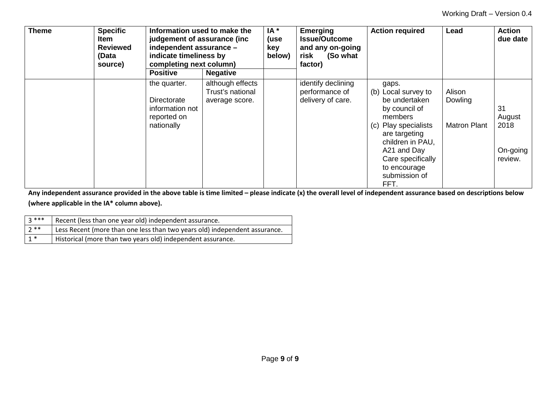| <b>Theme</b> | <b>Specific</b><br>Item<br><b>Reviewed</b><br>(Data<br>source) | Information used to make the<br>judgement of assurance (inc.<br>independent assurance -<br>indicate timeliness by<br>completing next column) |                                                        | $IA*$<br>(use<br>key<br>below) | <b>Emerging</b><br><b>Issue/Outcome</b><br>and any on-going<br>(So what<br>risk<br>factor) | <b>Action required</b>                                                                                                                                                                                                    | Lead                                     | <b>Action</b><br>due date                   |
|--------------|----------------------------------------------------------------|----------------------------------------------------------------------------------------------------------------------------------------------|--------------------------------------------------------|--------------------------------|--------------------------------------------------------------------------------------------|---------------------------------------------------------------------------------------------------------------------------------------------------------------------------------------------------------------------------|------------------------------------------|---------------------------------------------|
|              |                                                                | <b>Positive</b>                                                                                                                              | <b>Negative</b>                                        |                                |                                                                                            |                                                                                                                                                                                                                           |                                          |                                             |
|              |                                                                | the quarter.<br>Directorate<br>information not<br>reported on<br>nationally                                                                  | although effects<br>Trust's national<br>average score. |                                | identify declining<br>performance of<br>delivery of care.                                  | gaps.<br>Local survey to<br>(b)<br>be undertaken<br>by council of<br>members<br>Play specialists<br>(c)<br>are targeting<br>children in PAU,<br>A21 and Day<br>Care specifically<br>to encourage<br>submission of<br>FFT. | Alison<br>Dowling<br><b>Matron Plant</b> | 31<br>August<br>2018<br>On-going<br>review. |

**Any independent assurance provided in the above table is time limited – please indicate (x) the overall level of independent assurance based on descriptions below (where applicable in the IA\* column above).** 

| २ *** | Recent (less than one year old) independent assurance.                     |
|-------|----------------------------------------------------------------------------|
| $7**$ | Less Recent (more than one less than two years old) independent assurance. |
| $1*$  | Historical (more than two years old) independent assurance.                |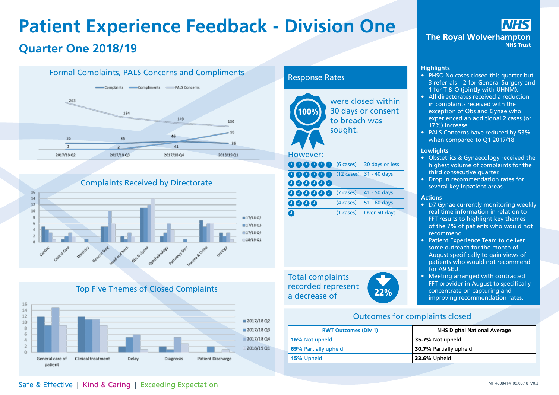## **Patient Experience Feedback - Division One Quarter One 2018/19**





## Top Five Themes of Closed Complaints



### Response Rates



Total complaints recorded represent a decrease of 22%



IHS **The Royal Wolverhampton NHS Trust** 

### **Highlights**

- PHSO No cases closed this quarter but 3 referrals – 2 for General Surgery and 1 for T & O (jointly with UHNM).
- All directorates received a reduction in complaints received with the exception of Obs and Gynae who experienced an additional 2 cases (or 17%) increase.
- PALS Concerns have reduced by 53% when compared to Q1 2017/18.

#### **Lowlights**

- Obstetrics & Gynaecology received the highest volume of complaints for the third consecutive quarter.
- Drop in recommendation rates for several key inpatient areas.

#### **Actions**

- D7 Gynae currently monitoring weekly real time information in relation to FFT results to highlight key themes of the 7% of patients who would not recommend.
- Patient Experience Team to deliver some outreach for the month of August specifically to gain views of patients who would not recommend for A9 SEU.
- Meeting arranged with contracted FFT provider in August to specifically concentrate on capturing and improving recommendation rates.

### Outcomes for complaints closed

| <b>RWT Outcomes (Div 1)</b> | <b>NHS Digital National Average</b> |  |  |  |  |
|-----------------------------|-------------------------------------|--|--|--|--|
| <b>16%</b> Not upheld       | 35.7% Not upheld                    |  |  |  |  |
| <b>69%</b> Partially upheld | <b>30.7% Partially upheld</b>       |  |  |  |  |
| 15% Upheld                  | <b>33.6%</b> Upheld                 |  |  |  |  |

## Safe & Effective | Kind & Caring | Exceeding Expectation **Safe & Effective | Kind & Caring | Exceeding Expectation**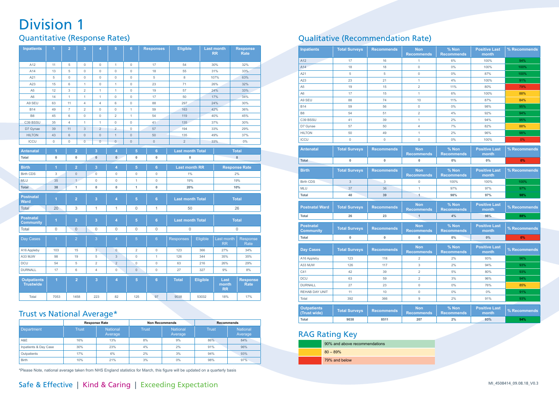## Division 1

## Quantitative (Response Rates)

| <b>Inpatients</b>                      | $\overline{1}$      | $\overline{2}$  | 3                   | $\overline{4}$      | 5                       | 6                   | <b>Responses</b>    | <b>Eligible</b>         |                         | <b>Last month</b><br><b>RR</b> | <b>Response</b><br>Rate        |  |
|----------------------------------------|---------------------|-----------------|---------------------|---------------------|-------------------------|---------------------|---------------------|-------------------------|-------------------------|--------------------------------|--------------------------------|--|
| A12                                    | 11                  | 5               | $\circ$             | $\mathbf 0$         | 1                       | $\mathbf 0$         | 17                  | 54                      |                         | 30%                            | 32%                            |  |
| A14                                    | 13                  | 5               | $\mathsf{O}\xspace$ | $\mathbf 0$         | $\mathbf 0$             | $\mathbf 0$         | 18                  | 55                      |                         | 31%                            | 33%                            |  |
| A21                                    | 5                   | 0               | $\mathsf{O}\xspace$ | $\mathsf{O}\xspace$ | 0                       | $\mathbf 0$         | $\overline{5}$      | 8                       |                         | 107%                           | 63%                            |  |
| A23                                    | 15                  | 6               | 1                   | $\mathbf 0$         | 1                       | $\mathbf 0$         | 23                  | 71                      |                         | 26%                            | 32%                            |  |
| A <sub>5</sub>                         | 12                  | 3               | $\overline{c}$      | $\mathbf{1}$        | 1                       | $\mathbf 0$         | 19                  | 57                      |                         | 24%                            | 33%                            |  |
| A <sub>6</sub>                         | 14                  | 1               | $\mathbf{1}$        | 1                   | $\mathbf 0$             | $\mathbf 0$         | 17                  | 50                      |                         | 17%                            | 34%                            |  |
| A9 SEU                                 | 63                  | 11              | 4                   | 4                   | 6                       | $\mathsf{O}\xspace$ | 88                  | 297                     |                         | 24%                            | 30%                            |  |
| <b>B14</b>                             | 49                  | $\overline{7}$  | $\overline{c}$      | $\mathbf 0$         | 0                       | $\mathbf{1}$        | 59                  | 163                     |                         | 42%                            | 36%                            |  |
| <b>B8</b>                              | 45                  | 6               | $\mathbf{0}$        | $\mathbf{0}$        | $\overline{2}$          | $\mathbf{1}$        | 54                  | 119                     |                         | 40%                            | 45%                            |  |
| C39 BSSU                               | 35                  | $\overline{4}$  | $\overline{1}$      | $\mathbf{1}$        | $\mathbf 0$             | $\mathbf 0$         | 41                  | 135                     |                         | 37%                            | 30%                            |  |
| D7 Gynae                               | 39                  | 11              | $\mathbf{3}$        | $\overline{2}$      | $\overline{c}$          | $\mathbf 0$         | 57                  | 194                     |                         | 33%                            | 29%                            |  |
| <b>HILTON</b>                          | 43                  | 6               | $\mathsf{O}\xspace$ | $\mathsf{O}\xspace$ | $\mathbf{1}$            | $\bf 0$             | 50                  | 135                     |                         | 49%                            | 37%                            |  |
| <b>ICCU</b>                            | $\mathsf{O}\xspace$ | $\overline{0}$  | $\overline{0}$      | $\overline{0}$      | $\overline{0}$          | $\mathbf{0}$        | $\mathsf{O}\xspace$ | $\overline{2}$          |                         | 33%                            | $0\%$                          |  |
| <b>Antenatal</b>                       | 1                   | $\overline{2}$  |                     | 3                   | 4                       | $\overline{5}$      | $6\phantom{a}$      | <b>Last month Total</b> |                         | <b>Total</b>                   |                                |  |
| <b>Total</b>                           | $\pmb{0}$           | 0               |                     | $\pmb{0}$           | $\pmb{0}$               | 0                   | $\pmb{0}$           | 0                       |                         |                                | $\pmb{0}$                      |  |
| <b>Birth</b>                           | 1                   | $\overline{2}$  |                     | 3                   | $\overline{\mathbf{4}}$ | $\overline{5}$      | $6\phantom{a}$      | <b>Last month RR</b>    |                         |                                | <b>Response Rate</b>           |  |
| <b>Birth CDS</b>                       | $\mathsf 3$         | $\mathbf{0}$    |                     | $\overline{0}$      | $\mathbf 0$             | $\mathbf 0$         | $\mathbf 0$         | 1%                      |                         | 2%                             |                                |  |
| <b>MLU</b>                             | 35                  | $\mathbf{1}$    |                     | 0                   | $\mathsf{O}\xspace$     | 1                   | $\mathsf{O}\xspace$ | 19%                     |                         |                                | 19%                            |  |
| <b>Total</b>                           | 38                  | 1               |                     | 0                   | $\mathbf 0$             | $\overline{1}$      | $\mathbf 0$         | 20%                     |                         | 10%                            |                                |  |
| <b>Postnatal</b><br>Ward               | 1                   | $\overline{2}$  |                     | 3                   | $\overline{4}$          | $\overline{5}$      | $6\phantom{a}$      | <b>Last month Total</b> |                         | <b>Total</b>                   |                                |  |
| <b>Total</b>                           | 20                  | 3               |                     | 1                   | 1                       | $\mathsf{O}\xspace$ | $\mathbf{1}$        | 50                      |                         | 26                             |                                |  |
| <b>Postnatal</b><br><b>Community</b>   | 1                   | $\overline{2}$  |                     | 3                   | 4                       | 5                   | 6                   |                         | <b>Last month Total</b> |                                | <b>Total</b>                   |  |
| Total                                  | $\mathbf 0$         | $\mathbf{0}$    |                     | 0                   | $\mathbf{0}$            | $\mathsf{O}\xspace$ | 0                   | 0                       |                         |                                | $\mathsf{O}\xspace$            |  |
| Day Cases                              | $\mathbf{1}$        | $\overline{2}$  |                     | 3                   | 4                       | $\overline{5}$      | $6\phantom{a}$      | <b>Responses</b>        | Eligible                | Last month<br><b>RR</b>        | Response<br>Rate               |  |
| A16 Appleby                            | 103                 | 15              |                     | $\overline{3}$      | $\mathbf{0}$            | $\overline{c}$      | $\mathsf{O}\xspace$ | 123                     | 366                     | 27%                            | 34%                            |  |
| A33 MJW                                | 98                  | 19              |                     | 5                   | $\sqrt{3}$              | 0                   | $\mathbf{1}$        | 126                     | 344                     | 35%                            | 35%                            |  |
| DCU                                    | 54                  | 5               |                     | $\overline{c}$      | $\overline{2}$          | $\mathsf{O}\xspace$ | $\mathsf{O}\xspace$ | 63                      | 216                     | 26%                            | 29%                            |  |
| <b>DURNALL</b>                         | 17                  | $6\phantom{1}6$ |                     | 4                   | $\mathsf{O}\xspace$     | $\mathsf{O}\xspace$ | $\mathsf{O}\xspace$ | 27                      | 327                     | 9%                             | 8%                             |  |
| <b>Outpatients</b><br><b>Trustwide</b> | $\blacksquare$      |                 | $\overline{2}$      | 3                   | 4                       | $\overline{5}$      | $6\phantom{a}$      | <b>Total</b>            | Eligible                | Last<br>month<br><b>RR</b>     | <b>Response</b><br><b>Rate</b> |  |
| Total                                  | 7053                |                 | 1458                | 223                 | 82                      | 125                 | 97                  | 9038                    | 53032                   | 18%                            | 17%                            |  |

## Trust vs National Average\*

|                       |              | <b>Response Rate</b>       |              | <b>Non Recommends</b>      | <b>Recommends</b> |                            |  |
|-----------------------|--------------|----------------------------|--------------|----------------------------|-------------------|----------------------------|--|
| Department            | <b>Trust</b> | <b>National</b><br>Average | <b>Trust</b> | <b>National</b><br>Average | <b>Trust</b>      | <b>National</b><br>Average |  |
| A&E                   | 16%          | 13%                        | 8%           | 9%                         | 86%               | 84%                        |  |
| Inpatients & Day Case | 30%          | 23%                        | 4%           | 2%                         | 91%               | 96%                        |  |
| Outpatients           | 17%          | 6%                         | 2%           | 3%                         | 94%               | 93%                        |  |
| <b>Birth</b>          | 10%          | 21%                        | 3%           | $0\%$                      | 98%               | 97%                        |  |

\*Please Note, national average taken from NHS England statistics for March, this figure will be updated on a quarterly basis

## Qualitative (Recommendation Rate)

| <b>Inpatients</b>                    | <b>Total Surveys</b> | <b>Recommends</b> | <b>Non</b><br><b>Recommends</b> | % Non<br><b>Recommends</b> | <b>Positive Last</b><br>month | % Recommends |
|--------------------------------------|----------------------|-------------------|---------------------------------|----------------------------|-------------------------------|--------------|
| A12                                  | 17                   | 16                | $\mathbf{1}$                    | 6%                         | 100%                          | 94%          |
| A14                                  | 18                   | 18                | $\mathbf 0$                     | 0%                         | 100%                          | 100%         |
| A21                                  | $\overline{5}$       | 5                 | $\mathbf 0$                     | 0%                         | 87%                           | 100%         |
| A23                                  | 23                   | 21                | 1                               | 4%                         | 100%                          | 91%          |
| A <sub>5</sub>                       | 19                   | 15                | $\overline{c}$                  | 11%                        | 80%                           | 79%          |
| A <sub>6</sub>                       | 17                   | 15                | $\mathbf{1}$                    | 6%                         | 100%                          | 88%          |
| A9 SEU                               | 88                   | 74                | 10                              | 11%                        | 87%                           | 84%          |
| <b>B14</b>                           | 59                   | 56                | $\mathbf 0$                     | 0%                         | 98%                           | 95%          |
| B <sub>8</sub>                       | 54                   | 51                | $\overline{2}$                  | 4%                         | 92%                           | 94%          |
| C39 BSSU                             | 41                   | 39                | $\mathbf{1}$                    | 2%                         | 94%                           | 95%          |
| D7 Gynae                             | 57                   | 50                | $\overline{4}$                  | 7%                         | 82%                           | 88%          |
| <b>HILTON</b>                        | 50                   | 49                | $\mathbf{1}$                    | 2%                         | 96%                           | 98%          |
| <b>ICCU</b>                          | $\Omega$             | $\Omega$          | $\Omega$                        | 0%                         | 100%                          | 0%           |
| <b>Antenatal</b>                     | <b>Total Surveys</b> | <b>Recommends</b> | <b>Non</b><br><b>Recommends</b> | % Non<br><b>Recommends</b> | <b>Positive Last</b><br>month | % Recommends |
| <b>Total</b>                         | $\mathbf{0}$         | $\mathbf{0}$      | $\mathbf 0$                     | 0%                         | 0%                            | 0%           |
| <b>Birth</b>                         | <b>Total Surveys</b> | <b>Recommends</b> | <b>Non</b><br><b>Recommends</b> | % Non<br><b>Recommends</b> | <b>Positive Last</b><br>month | % Recommends |
| <b>Birth CDS</b>                     | 3                    | 3                 | $\mathbf{0}$                    | 100%                       | 100%                          | 100%         |
| <b>MLU</b>                           | 37                   | 36                | $\mathbf{1}$                    | 97%                        | 97%                           | 97%          |
| <b>Total</b>                         | 40                   | 39                | $\overline{1}$                  | 98%                        | 97%                           | 98%          |
| <b>Postnatal Ward</b>                | <b>Total Surveys</b> | <b>Recommends</b> | <b>Non</b><br><b>Recommends</b> | % Non<br><b>Recommends</b> | <b>Positive Last</b><br>month | % Recommends |
| <b>Total</b>                         | 26                   | 23                | $\mathbf{1}$                    | 4%                         | 98%                           | 88%          |
| <b>Postnatal</b><br><b>Community</b> | <b>Total Surveys</b> | <b>Recommends</b> | <b>Non</b><br><b>Recommends</b> | % Non<br><b>Recommends</b> | <b>Positive Last</b><br>month | % Recommends |
| Total                                | 0                    | 0                 | $\mathbf 0$                     | 0%                         | 0%                            | 0%           |
| <b>Day Cases</b>                     | <b>Total Surveys</b> | <b>Recommends</b> | <b>Non</b><br><b>Recommends</b> | % Non<br><b>Recommends</b> | <b>Positive Last</b><br>month | % Recommends |
| A16 Appleby                          | 123                  | 118               | $\overline{2}$                  | 2%                         | 93%                           | 96%          |
| A33 MJW                              | 126                  | 117               | 3                               | 2%                         | 94%                           | 93%          |
| C41                                  | 42                   | 39                | $\overline{2}$                  | 5%                         | 80%                           | 93%          |
| DCU                                  | 63                   | 59                | $\overline{2}$                  | 3%                         | 96%                           | 94%          |
| <b>DURNALL</b>                       | 27                   | 23                | $\mathbf{0}$                    | 0%                         | 76%                           | 85%          |
| <b>REHAB DAY UNIT</b>                | 11                   | 10                | $\mathbf{0}$                    | 0%                         | $0\%$                         | 91%          |
| Total                                | 392                  | 366               | $\overline{9}$                  | 2%                         | 91%                           | 93%          |
| <b>Outpatients</b><br>(Trust wide)   | <b>Total Surveys</b> | <b>Recommends</b> | <b>Non</b><br><b>Recommends</b> | % Non<br><b>Recommends</b> | <b>Positive Last</b><br>month | % Recommends |
| <b>Total</b>                         | 9038                 | 8511              | 207                             | 2%                         | 93%                           | 94%          |

## RAG Rating Key

| 90% and above recommendations |
|-------------------------------|
| $80 - 89%$                    |
| 79% and below                 |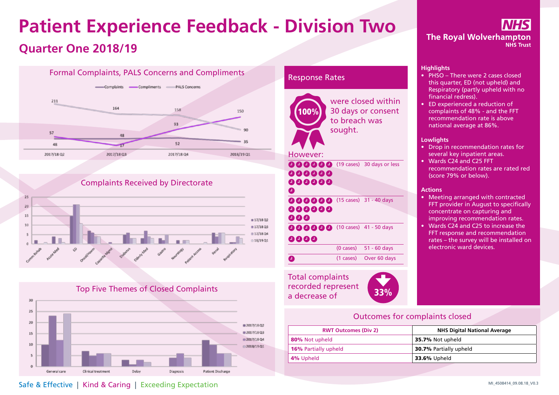## **Patient Experience Feedback - Division Two Quarter One 2018/19**







### Response Rates



Total complaints recorded represent a decrease of 33%



**The Royal Wolverhampton NHS Trust** 

#### **Highlights**

- PHSO There were 2 cases closed this quarter, ED (not upheld) and Respiratory (partly upheld with no financial redress).
- ED experienced a reduction of complaints of 48% - and the FFT recommendation rate is above national average at 86%.

#### **Lowlights**

- Drop in recommendation rates for several key inpatient areas.
- Wards C24 and C25 FFT recommendation rates are rated red (score 79% or below).

#### **Actions**

- Meeting arranged with contracted FFT provider in August to specifically concentrate on capturing and improving recommendation rates.
- Wards C24 and C25 to increase the FFT response and recommendation rates – the survey will be installed on electronic ward devices.

## Outcomes for complaints closed

| <b>RWT Outcomes (Div 2)</b> | <b>NHS Digital National Average</b> |
|-----------------------------|-------------------------------------|
| 80% Not upheld              | 35.7% Not upheld                    |
| <b>16%</b> Partially upheld | <b>30.7% Partially upheld</b>       |
| 4% Upheld                   | <b>33.6% Upheld</b>                 |

Safe & Effective | Kind & Caring | Exceeding Expectation **Safe & Effective | Kind & Caring | Exceeding Expectation**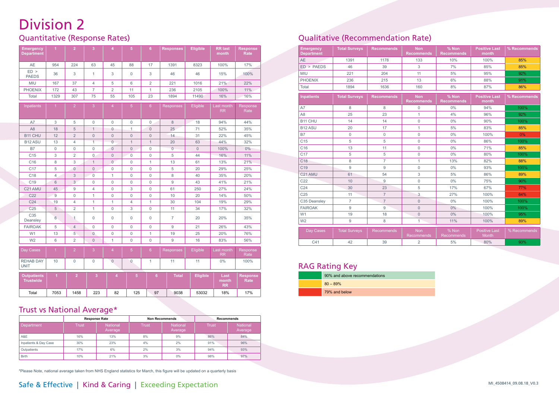## Division 2

## Quantitative (Response Rates)

| <b>Emergency</b><br><b>Department</b>  | $\overline{1}$       | $\overline{2}$ | $\overline{3}$ | $\overline{4}$ | 5              | 6               | <b>Responses</b> | <b>Eligible</b> | <b>RR last</b><br>month    | <b>Response</b><br>Rate |
|----------------------------------------|----------------------|----------------|----------------|----------------|----------------|-----------------|------------------|-----------------|----------------------------|-------------------------|
| <b>AE</b>                              | 954                  | 224            | 63             | 45             | 88             | 17              | 1391             | 8323            | 100%                       | 17%                     |
| $ED$ ><br><b>PAEDS</b>                 | 36                   | 3              | $\mathbf{1}$   | 3              | $\mathbf 0$    | 3               | 46               | 46              | 15%                        | 100%                    |
| MIU                                    | 167                  | 37             | 4              | 5              | 6              | 2               | 221              | 1016            | 21%                        | 22%                     |
| <b>PHOENIX</b>                         | 172                  | 43             | $\overline{7}$ | $\overline{2}$ | 11             | $\mathbf{1}$    | 236              | 2105            | 100%                       | 11%                     |
| Total                                  | 1329                 | 307            | 75             | 55             | 105            | 23              | 1894             | 11490           | 16%                        | 16%                     |
| Inpatients                             | $\mathbf{1}$         | $\overline{2}$ | $\overline{3}$ | $\overline{4}$ | $\overline{5}$ | $6\overline{6}$ | <b>Responses</b> | Eligible        | Last month<br><b>RR</b>    | Response<br>Rate        |
| A7                                     | 3                    | 5              | $\mathbf{0}$   | $\mathbf 0$    | $\mathbf 0$    | $\mathsf 0$     | 8                | 18              | 94%                        | 44%                     |
| A <sub>8</sub>                         | 18                   | 5              | $\mathbf{1}$   | $\mathbf 0$    | 1              | $\overline{0}$  | 25               | 71              | 52%                        | 35%                     |
| B <sub>11</sub> CHU                    | 12                   | $\overline{2}$ | $\overline{0}$ | $\overline{0}$ | $\overline{0}$ | $\overline{0}$  | 14               | 31              | 22%                        | 45%                     |
| B <sub>12</sub> ASU                    | 13                   | $\overline{4}$ | $\overline{1}$ | $\Omega$       | $\mathbf{1}$   | $\mathbf{1}$    | 20               | 63              | 44%                        | 32%                     |
| <b>B7</b>                              | $\mathbf 0$          | $\mathbf{0}$   | $\mathbf 0$    | $\overline{0}$ | $\overline{0}$ | $\overline{0}$  | $\overline{0}$   | $\mathbf{0}$    | 100%                       | $0\%$                   |
| C <sub>15</sub>                        | 3                    | $\overline{2}$ | $\overline{0}$ | $\overline{0}$ | $\overline{0}$ | $\mathbf 0$     | 5                | 44              | 16%                        | 11%                     |
| C16                                    | 8                    | 3              | $\mathbf{1}$   | $\mathbf{0}$   | $\mathbf 0$    | $\mathbf{1}$    | 13               | 61              | 13%                        | 21%                     |
| C <sub>17</sub>                        | 5                    | $\mathbf{0}$   | $\overline{0}$ | $\mathbf 0$    | $\mathbf 0$    | $\mathbf 0$     | 5                | 20              | 29%                        | 25%                     |
| C <sub>18</sub>                        | $\overline{4}$       | 3              | $\overline{0}$ | $\mathbf{1}$   | $\mathbf 0$    | $\overline{0}$  | 8                | 40              | 35%                        | 20%                     |
| C <sub>19</sub>                        | 6                    | 3              | 0              | $\mathbf 0$    | $\mathbf 0$    | $\mathbf 0$     | 9                | 43              | 41%                        | 21%                     |
| C21 AMU                                | 45                   | 9              | $\overline{4}$ | $\mathbf 0$    | 3              | $\mathbf 0$     | 61               | 250             | 27%                        | 24%                     |
| C <sub>22</sub>                        | 9                    | $\mathbf{0}$   | $\mathbf{1}$   | $\mathbf 0$    | $\mathbf 0$    | 0               | 10               | 20              | 14%                        | 50%                     |
| C <sub>24</sub>                        | 19                   | $\overline{4}$ | $\mathbf{1}$   | $\mathbf{1}$   | $\overline{4}$ | $\mathbf{1}$    | 30               | 104             | 19%                        | 29%                     |
| C <sub>25</sub>                        | 5                    | $\overline{2}$ | $\mathbf{1}$   | $\Omega$       | 3              | 0               | 11               | 34              | 17%                        | 32%                     |
| C <sub>35</sub><br>Deansley            | 6                    | $\mathbf{1}$   | $\Omega$       | $\Omega$       | $\Omega$       | $\Omega$        | $\overline{7}$   | 20              | 20%                        | 35%                     |
| <b>FAIROAK</b>                         | 5                    | $\overline{4}$ | 0              | $\mathbf 0$    | $\mathbf 0$    | $\mathbf 0$     | 9                | 21              | 26%                        | 43%                     |
| W <sub>1</sub>                         | 13                   | 5              | $\overline{0}$ | $\mathbf 0$    | $\mathbf 0$    | $\mathbf{1}$    | 19               | 25              | 20%                        | 76%                     |
| W <sub>2</sub>                         | 6                    | $\overline{2}$ | $\overline{0}$ | $\mathbf{1}$   | $\mathbf 0$    | $\overline{0}$  | 9                | 16              | 83%                        | 56%                     |
| Day Cases                              | $\mathbf{1}$         | $\overline{2}$ | 3              | $\overline{4}$ | $\overline{5}$ | $6\phantom{a}$  | <b>Responses</b> | Eligible        | Last month<br><b>RR</b>    | Response<br>Rate        |
| <b>REHAB DAY</b><br><b>UNIT</b>        | 10                   | $\mathbf{0}$   | 0              | $\mathbf{0}$   | $\mathbf 0$    | 1               | 11               | 11              | 0%                         | 100%                    |
| <b>Outpatients</b><br><b>Trustwide</b> | $\blacktriangleleft$ | $\overline{2}$ | 3              | 4              | $\overline{5}$ | 6               | <b>Total</b>     | Eligible        | Last<br>month<br><b>RR</b> | <b>Response</b><br>Rate |
| Total                                  | 7053                 | 1458           | 223            | 82             | 125            | 97              | 9038             | 53032           | 18%                        | 17%                     |

## Trust vs National Average\*

|                       |       | <b>Response Rate</b>       |       | <b>Non Recommends</b> | <b>Recommends</b> |                     |  |
|-----------------------|-------|----------------------------|-------|-----------------------|-------------------|---------------------|--|
| Department            | Trust | <b>National</b><br>Average | Trust | National<br>Average   | Trust             | National<br>Average |  |
| A&E                   | 16%   | 13%                        | 8%    | 9%                    | 86%               | 84%                 |  |
| Inpatients & Day Case | 30%   | 23%                        | 4%    | 2%                    | 91%               | 96%                 |  |
| Outpatients           | 17%   | 6%                         | 2%    | 3%                    | 94%               | 93%                 |  |
| <b>Birth</b>          | 10%   | 21%                        | 3%    | 0%                    | 98%               | 97%                 |  |

\*Please Note, national average taken from NHS England statistics for March, this figure will be updated on a quarterly basis

## Qualitative (Recommendation Rate)

| <b>Emergency</b><br><b>Department</b> | <b>Total Surveys</b> | <b>Recommends</b> | $%$ Non<br><b>Non</b><br><b>Recommends</b><br><b>Recommends</b><br>month |                            | <b>Positive Last</b>          | % Recommends |
|---------------------------------------|----------------------|-------------------|--------------------------------------------------------------------------|----------------------------|-------------------------------|--------------|
| <b>AE</b>                             | 1391                 | 1178              | 133                                                                      | 10%                        | 100%                          | 85%          |
| $ED$ > $PAEDS$                        | 46                   | 39                | $\mathbf{3}$                                                             | 7%                         | 85%                           | 85%          |
| <b>MIU</b>                            | 221                  | 204               | 11                                                                       | 5%                         | 95%                           | 92%          |
| <b>PHOENIX</b>                        | 236                  | 215               | 13                                                                       | 6%                         | 88%                           | 91%          |
| Total                                 | 1894                 | 1636              | 160                                                                      | 8%                         | 87%                           | 86%          |
| <b>Inpatients</b>                     | <b>Total Surveys</b> | <b>Recommends</b> | <b>Non</b><br><b>Recommends</b>                                          | % Non<br><b>Recommends</b> | <b>Positive Last</b><br>month | % Recommends |
| A7                                    | 8                    | 8                 | $\mathbf 0$                                                              | 0%                         | 94%                           | 100%         |
| A <sub>8</sub>                        | 25                   | 23                | $\mathbf{1}$                                                             | 4%                         | 96%                           | 92%          |
| B <sub>11</sub> CHU                   | 14                   | 14                | $\mathbf 0$                                                              | 0%                         | 90%                           | 100%         |
| B <sub>12</sub> ASU                   | 20                   | 17                | $\mathbf{1}$                                                             | 5%                         | 83%                           | 85%          |
| <b>B7</b>                             | $\mathbf 0$          | $\mathbf 0$       | $\mathbf 0$                                                              | 0%                         | 100%                          | 0%           |
| C <sub>15</sub>                       | 5                    | 5                 | $\mathbf 0$                                                              | 0%                         | 86%                           | 100%         |
| C <sub>16</sub>                       | 13                   | 11                | $\mathbf{0}$                                                             | 0%                         | 71%                           | 85%          |
| C <sub>17</sub>                       | 5                    | 5                 | $\mathbf 0$                                                              | 0%                         | 80%                           | 100%         |
| C <sub>18</sub>                       | 8                    | $\overline{7}$    | 1                                                                        | 13%                        | 82%                           | 88%          |
| C <sub>19</sub>                       | 9                    | 9                 | $\mathbf 0$                                                              | 0%                         | 93%                           | 100%         |
| C21 AMU                               | 61                   | 54                | 3                                                                        | 5%                         | 86%                           | 89%          |
| C <sub>22</sub>                       | 10                   | 9                 | $\Omega$                                                                 | 0%                         | 75%                           | 90%          |
| C <sub>24</sub>                       | 30                   | 23                | 5                                                                        | 17%                        | 67%                           | 77%          |
| C <sub>25</sub>                       | 11                   | $\overline{7}$    | 3                                                                        | 27%                        | 100%                          | 64%          |
| C35 Deansley                          | $\overline{7}$       | $\overline{7}$    | $\mathbf{0}$                                                             | 0%                         | 100%                          | 100%         |
| <b>FAIROAK</b>                        | 9                    | 9                 | $\mathbf{0}$                                                             | 0%                         | 100%                          | 100%         |
| W1                                    | 19                   | 18                | $\mathbf{0}$                                                             | $0\%$                      | 100%                          | 95%          |
| W <sub>2</sub>                        | 9                    | 8                 | $\overline{1}$                                                           | 11%                        | 100%                          | 89%          |
| Day Cases                             | <b>Total Surveys</b> | <b>Recommends</b> | <b>Non</b><br>Recommends                                                 | % Non<br>Recommends        | <b>Positive Last</b><br>Month | % Recommends |
| C <sub>41</sub>                       | 42                   | 39                | $\overline{2}$                                                           | 5%                         | 80%                           | 93%          |

## RAG Rating Key

| 90% and above recommendations |
|-------------------------------|
| $80 - 89%$                    |
| 79% and below                 |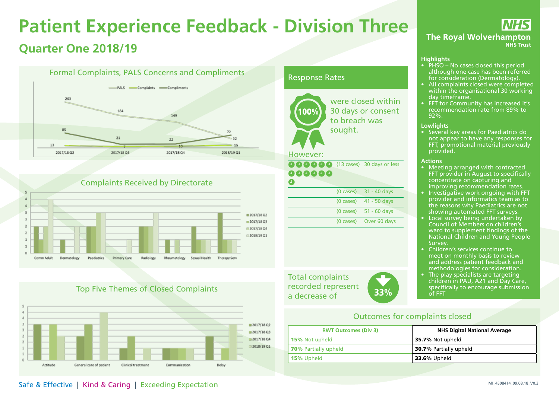## **Patient Experience Feedback - Division Three Quarter One 2018/19**





## Complaints Received by Directorate

## Top Five Themes of Closed Complaints



### Response Rates



30 days or consent to breach was sought.

(13 cases) 30 days or less

|  | $(0 \text{ cases})$ 31 - 40 days |
|--|----------------------------------|
|  | $(0 \text{ cases})$ 41 - 50 days |
|  | $(0 \text{ cases})$ 51 - 60 days |
|  | (0 cases) Over 60 days           |
|  |                                  |

Total complaints recorded represent a decrease of 33%



**NHS The Royal Wolverhampton NHS Trust** 

#### **Highlights**

- PHSO No cases closed this period although one case has been referred for consideration (Dermatology).
- All complaints closed were completed within the organisational 30 working day timeframe.
- FFT for Community has increased it's recommendation rate from 89% to 92%.

#### **Lowlights**

• Several key areas for Paediatrics do not appear to have any responses for FFT, promotional material previously provided.

#### **Actions**

- Meeting arranged with contracted FFT provider in August to specifically concentrate on capturing and improving recommendation rates.
- Investigative work ongoing with FFT provider and informatics team as to the reasons why Paediatrics are not showing automated FFT surveys.
- Local survey being undertaken by Council of Members on children's ward to supplement findings of the National Children and Young People Survey.
- Children's services continue to meet on monthly basis to review and address patient feedback and methodologies for consideration.
- The play specialists are targeting children in PAU, A21 and Day Care, specifically to encourage submission of FFT

## Outcomes for complaints closed

| <b>RWT Outcomes (Div 3)</b> | <b>NHS Digital National Average</b> |
|-----------------------------|-------------------------------------|
| <b>15%</b> Not upheld       | 35.7% Not upheld                    |
| <b>70%</b> Partially upheld | <b>30.7% Partially upheld</b>       |
| <b>15%</b> Upheld           | <b>33.6%</b> Upheld                 |

## Safe & Effective | Kind & Caring | Exceeding Expectation **Safe & Effective | Kind & Caring | Exceeding Expectation**